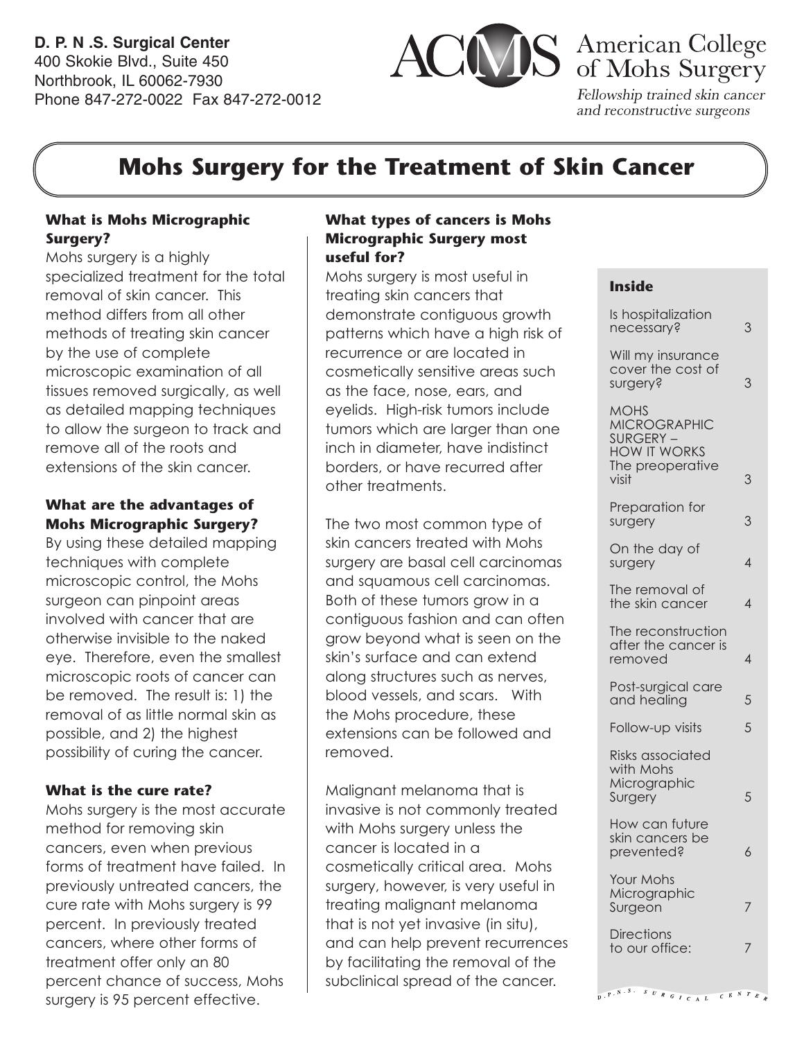**D. P. N .S. Surgical Center** 400 Skokie Blvd., Suite 450 Northbrook, IL 60062-7930 Phone 847-272-0022 Fax 847-272-0012



Fellowship trained skin cancer and reconstructive surgeons

## **Mohs Surgery for the Treatment of Skin Cancer**

#### **What is Mohs Micrographic Surgery?**

Mohs surgery is a highly specialized treatment for the total removal of skin cancer. This method differs from all other methods of treating skin cancer by the use of complete microscopic examination of all tissues removed surgically, as well as detailed mapping techniques to allow the surgeon to track and remove all of the roots and extensions of the skin cancer.

#### **What are the advantages of Mohs Micrographic Surgery?**

By using these detailed mapping techniques with complete microscopic control, the Mohs surgeon can pinpoint areas involved with cancer that are otherwise invisible to the naked eye. Therefore, even the smallest microscopic roots of cancer can be removed. The result is: 1) the removal of as little normal skin as possible, and 2) the highest possibility of curing the cancer.

#### **What is the cure rate?**

Mohs surgery is the most accurate method for removing skin cancers, even when previous forms of treatment have failed. In previously untreated cancers, the cure rate with Mohs surgery is 99 percent. In previously treated cancers, where other forms of treatment offer only an 80 percent chance of success, Mohs surgery is 95 percent effective.

#### **What types of cancers is Mohs Micrographic Surgery most useful for?**

Mohs surgery is most useful in treating skin cancers that demonstrate contiguous growth patterns which have a high risk of recurrence or are located in cosmetically sensitive areas such as the face, nose, ears, and eyelids. High-risk tumors include tumors which are larger than one inch in diameter, have indistinct borders, or have recurred after other treatments.

The two most common type of skin cancers treated with Mohs surgery are basal cell carcinomas and squamous cell carcinomas. Both of these tumors grow in a contiguous fashion and can often grow beyond what is seen on the skin's surface and can extend along structures such as nerves, blood vessels, and scars. With the Mohs procedure, these extensions can be followed and removed.

Malignant melanoma that is invasive is not commonly treated with Mohs surgery unless the cancer is located in a cosmetically critical area. Mohs surgery, however, is very useful in treating malignant melanoma that is not yet invasive (in situ), and can help prevent recurrences by facilitating the removal of the subclinical spread of the cancer.

#### **Inside**

| Is hospitalization<br>necessary?                                                                   | 3 |
|----------------------------------------------------------------------------------------------------|---|
| Will my insurance<br>cover the cost of<br>surgery?                                                 | 3 |
| <b>MOHS</b><br><b>MICROGRAPHIC</b><br>SURGERY-<br><b>HOW IT WORKS</b><br>The preoperative<br>visit | 3 |
| Preparation for<br>surgery                                                                         | 3 |
| On the day of<br>surgery                                                                           | 4 |
| The removal of<br>the skin cancer                                                                  | 4 |
| The reconstruction<br>after the cancer is<br>removed                                               | 4 |
| Post-surgical care<br>and healing                                                                  | 5 |
| Follow-up visits                                                                                   | 5 |
| Risks associated<br>with Mohs<br>Micrographic<br>Surgery                                           | 5 |
| How can future<br>skin cancers be<br>prevented?                                                    |   |
| Your Mohs<br>Micrographic<br>Surgeon                                                               |   |
| <b>Directions</b><br>to our office:                                                                |   |
|                                                                                                    |   |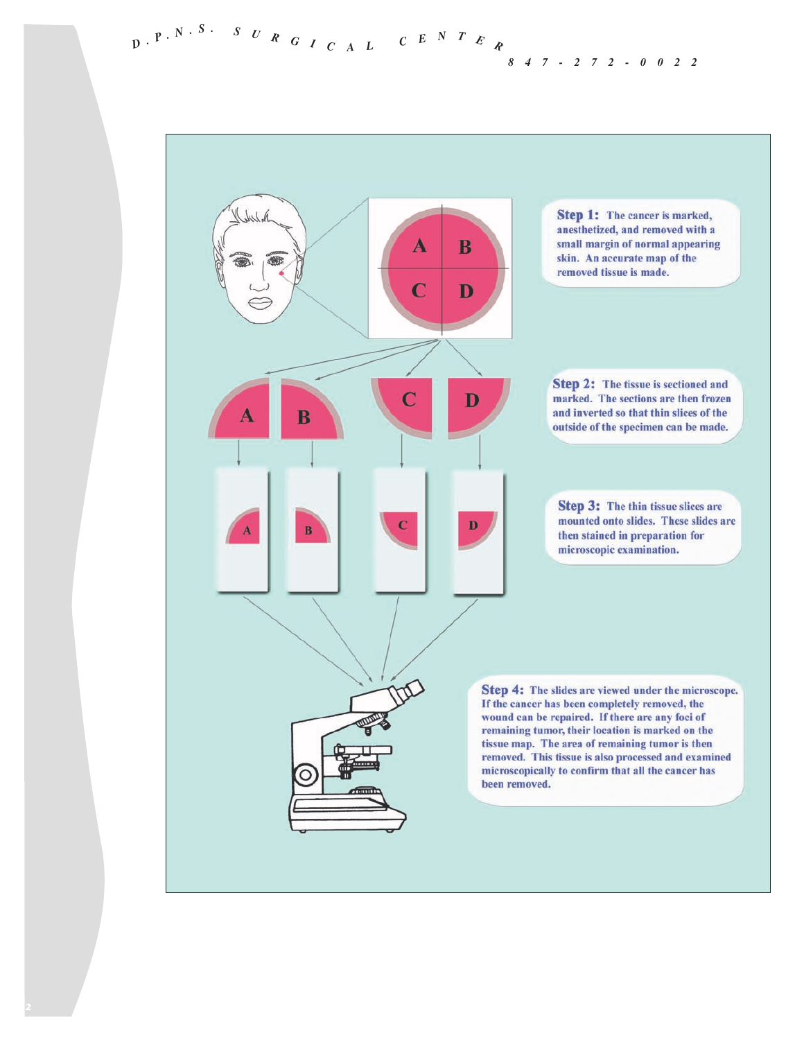*847-272-0022*

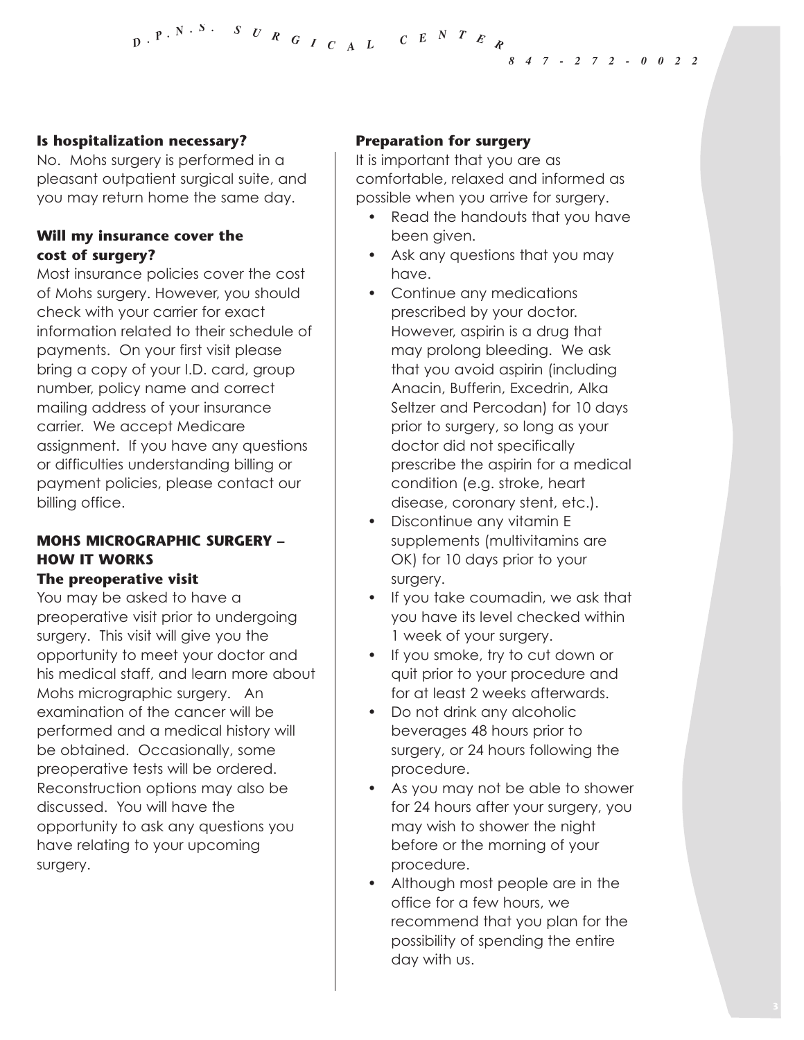#### *847-272-0022*

#### **Is hospitalization necessary?**

No. Mohs surgery is performed in a pleasant outpatient surgical suite, and you may return home the same day.

#### **Will my insurance cover the cost of surgery?**

Most insurance policies cover the cost of Mohs surgery. However, you should check with your carrier for exact information related to their schedule of payments. On your first visit please bring a copy of your I.D. card, group number, policy name and correct mailing address of your insurance carrier. We accept Medicare assignment. If you have any questions or difficulties understanding billing or payment policies, please contact our billing office.

#### **MOHS MICROGRAPHIC SURGERY – HOW IT WORKS The preoperative visit**

### You may be asked to have a

preoperative visit prior to undergoing surgery. This visit will give you the opportunity to meet your doctor and his medical staff, and learn more about Mohs micrographic surgery. An examination of the cancer will be performed and a medical history will be obtained. Occasionally, some preoperative tests will be ordered. Reconstruction options may also be discussed. You will have the opportunity to ask any questions you have relating to your upcoming surgery.

#### **Preparation for surgery**

It is important that you are as comfortable, relaxed and informed as possible when you arrive for surgery.

- Read the handouts that you have been given.
- Ask any questions that you may have.
- Continue any medications prescribed by your doctor. However, aspirin is a drug that may prolong bleeding. We ask that you avoid aspirin (including Anacin, Bufferin, Excedrin, Alka Seltzer and Percodan) for 10 days prior to surgery, so long as your doctor did not specifically prescribe the aspirin for a medical condition (e.g. stroke, heart disease, coronary stent, etc.).
- Discontinue any vitamin E supplements (multivitamins are OK) for 10 days prior to your surgery.
- If you take coumadin, we ask that you have its level checked within 1 week of your surgery.
- If you smoke, try to cut down or quit prior to your procedure and for at least 2 weeks afterwards.
- Do not drink any alcoholic beverages 48 hours prior to surgery, or 24 hours following the procedure.
- As you may not be able to shower for 24 hours after your surgery, you may wish to shower the night before or the morning of your procedure.
- Although most people are in the office for a few hours, we recommend that you plan for the possibility of spending the entire day with us.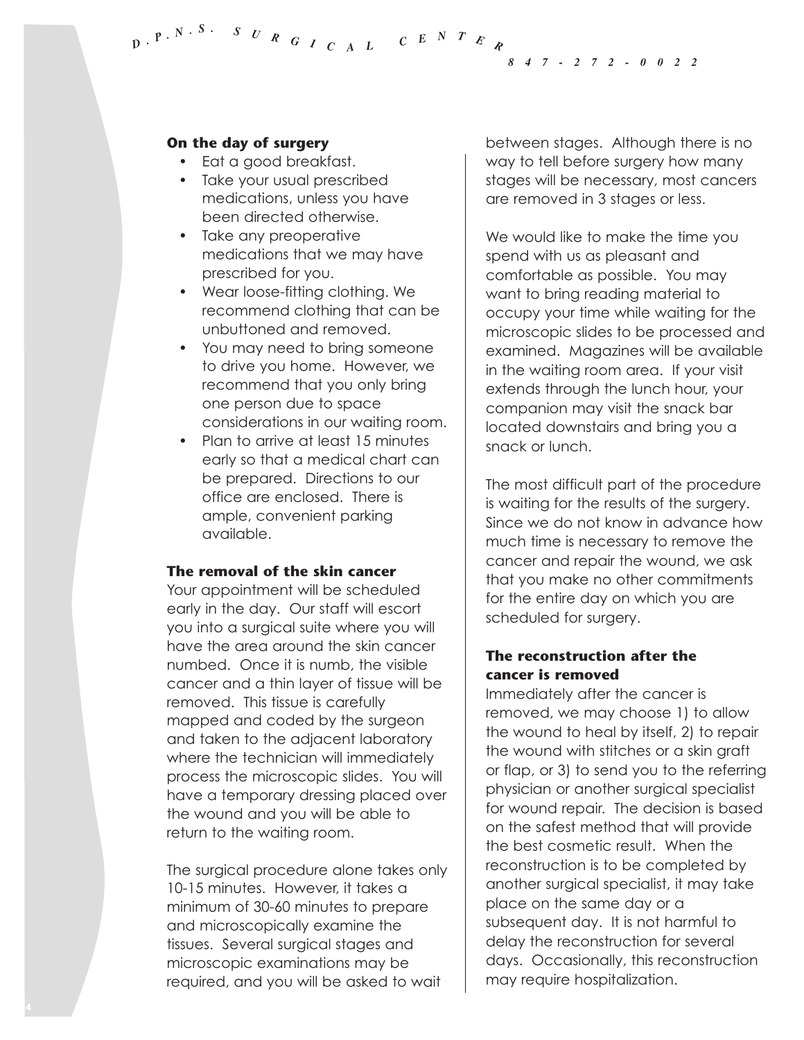*847-272-0022*

#### **On the day of surgery**

- Eat a good breakfast.
- Take your usual prescribed medications, unless you have been directed otherwise.
- Take any preoperative medications that we may have prescribed for you.
- Wear loose-fitting clothing. We recommend clothing that can be unbuttoned and removed.
- You may need to bring someone to drive you home. However, we recommend that you only bring one person due to space considerations in our waiting room.
- Plan to arrive at least 15 minutes early so that a medical chart can be prepared. Directions to our office are enclosed. There is ample, convenient parking available.

#### **The removal of the skin cancer**

Your appointment will be scheduled early in the day. Our staff will escort you into a surgical suite where you will have the area around the skin cancer numbed. Once it is numb, the visible cancer and a thin layer of tissue will be removed. This tissue is carefully mapped and coded by the surgeon and taken to the adjacent laboratory where the technician will immediately process the microscopic slides. You will have a temporary dressing placed over the wound and you will be able to return to the waiting room.

The surgical procedure alone takes only 10-15 minutes. However, it takes a minimum of 30-60 minutes to prepare and microscopically examine the tissues. Several surgical stages and microscopic examinations may be required, and you will be asked to wait

between stages. Although there is no way to tell before surgery how many stages will be necessary, most cancers are removed in 3 stages or less.

We would like to make the time you spend with us as pleasant and comfortable as possible. You may want to bring reading material to occupy your time while waiting for the microscopic slides to be processed and examined. Magazines will be available in the waiting room area. If your visit extends through the lunch hour, your companion may visit the snack bar located downstairs and bring you a snack or lunch.

The most difficult part of the procedure is waiting for the results of the surgery. Since we do not know in advance how much time is necessary to remove the cancer and repair the wound, we ask that you make no other commitments for the entire day on which you are scheduled for surgery.

#### **The reconstruction after the cancer is removed**

Immediately after the cancer is removed, we may choose 1) to allow the wound to heal by itself, 2) to repair the wound with stitches or a skin graft or flap, or 3) to send you to the referring physician or another surgical specialist for wound repair. The decision is based on the safest method that will provide the best cosmetic result. When the reconstruction is to be completed by another surgical specialist, it may take place on the same day or a subsequent day. It is not harmful to delay the reconstruction for several days. Occasionally, this reconstruction may require hospitalization.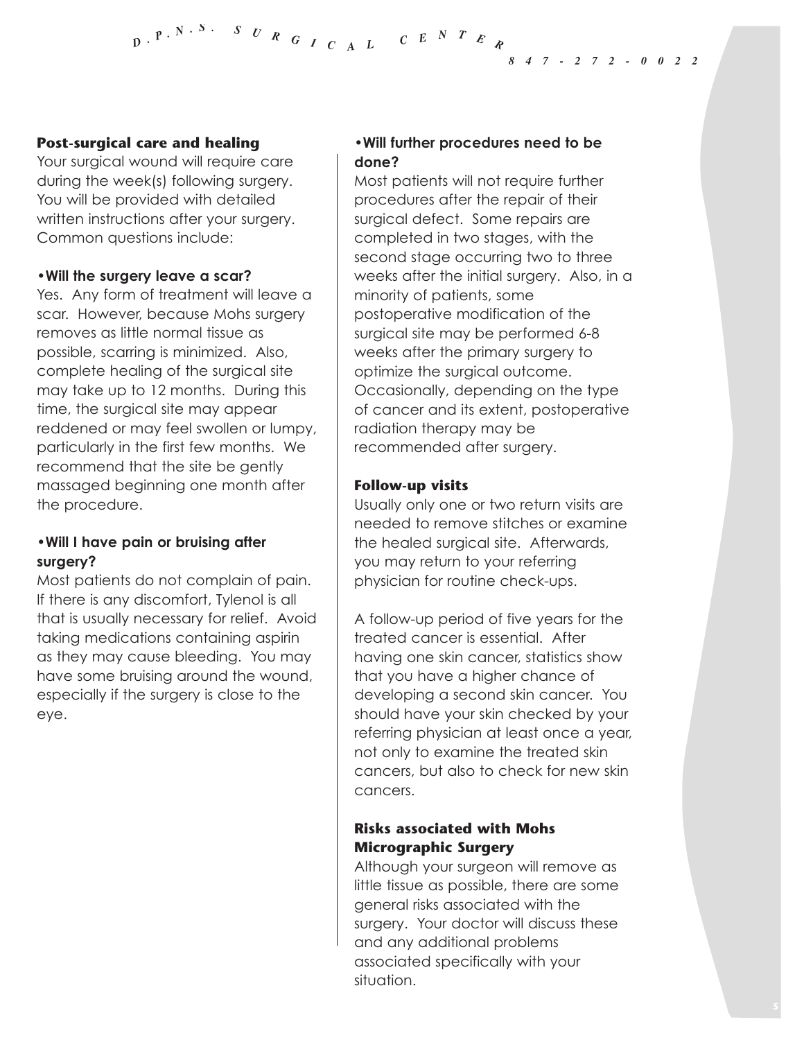#### **Post-surgical care and healing**

Your surgical wound will require care during the week(s) following surgery. You will be provided with detailed written instructions after your surgery. Common questions include:

#### **•Will the surgery leave a scar?**

Yes. Any form of treatment will leave a scar. However, because Mohs surgery removes as little normal tissue as possible, scarring is minimized. Also, complete healing of the surgical site may take up to 12 months. During this time, the surgical site may appear reddened or may feel swollen or lumpy, particularly in the first few months. We recommend that the site be gently massaged beginning one month after the procedure.

#### **•Will I have pain or bruising after surgery?**

Most patients do not complain of pain. If there is any discomfort, Tylenol is all that is usually necessary for relief. Avoid taking medications containing aspirin as they may cause bleeding. You may have some bruising around the wound, especially if the surgery is close to the eye.

#### **•Will further procedures need to be done?**

Most patients will not require further procedures after the repair of their surgical defect. Some repairs are completed in two stages, with the second stage occurring two to three weeks after the initial surgery. Also, in a minority of patients, some postoperative modification of the surgical site may be performed 6-8 weeks after the primary surgery to optimize the surgical outcome. Occasionally, depending on the type of cancer and its extent, postoperative radiation therapy may be recommended after surgery.

#### **Follow-up visits**

Usually only one or two return visits are needed to remove stitches or examine the healed surgical site. Afterwards, you may return to your referring physician for routine check-ups.

A follow-up period of five years for the treated cancer is essential. After having one skin cancer, statistics show that you have a higher chance of developing a second skin cancer. You should have your skin checked by your referring physician at least once a year, not only to examine the treated skin cancers, but also to check for new skin cancers.

#### **Risks associated with Mohs Micrographic Surgery**

Although your surgeon will remove as little tissue as possible, there are some general risks associated with the surgery. Your doctor will discuss these and any additional problems associated specifically with your situation.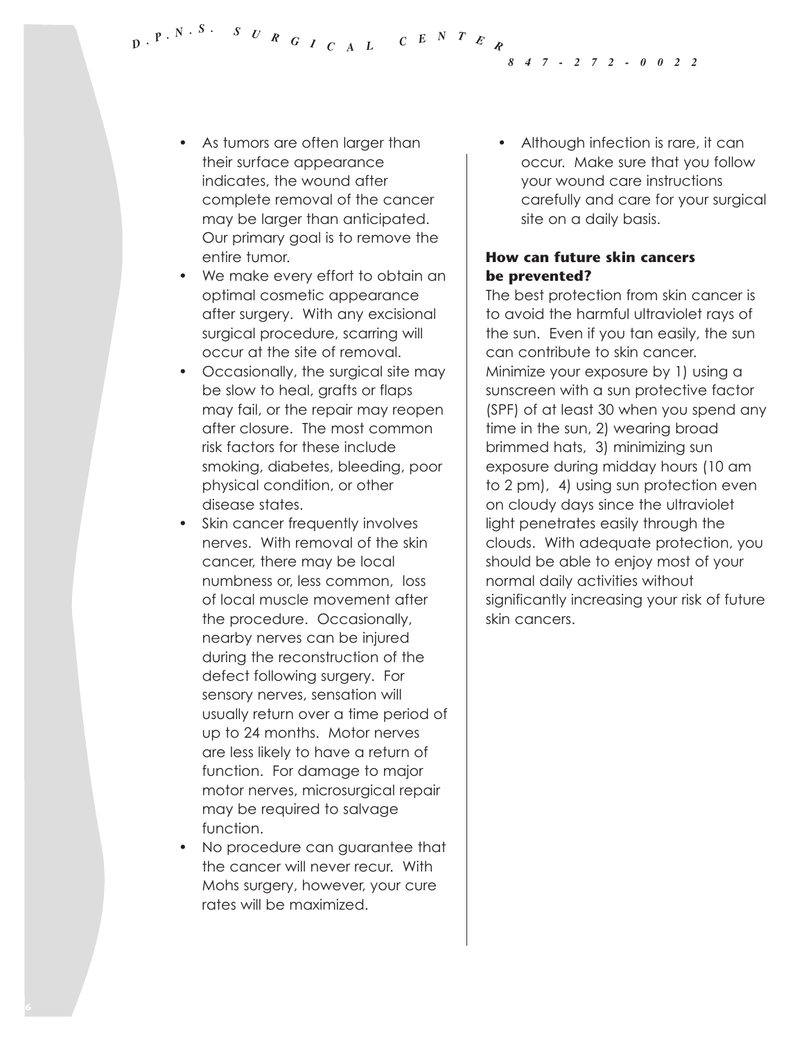*847-272-0022*

- As tumors are often larger than their surface appearance indicates, the wound after complete removal of the cancer may be larger than anticipated. Our primary goal is to remove the entire tumor.
- We make every effort to obtain an optimal cosmetic appearance after surgery. With any excisional surgical procedure, scarring will occur at the site of removal.
- Occasionally, the surgical site may be slow to heal, grafts or flaps may fail, or the repair may reopen after closure. The most common risk factors for these include smoking, diabetes, bleeding, poor physical condition, or other disease states.
- Skin cancer frequently involves nerves. With removal of the skin cancer, there may be local numbness or, less common, loss of local muscle movement after the procedure. Occasionally, nearby nerves can be injured during the reconstruction of the defect following surgery. For sensory nerves, sensation will usually return over a time period of up to 24 months. Motor nerves are less likely to have a return of function. For damage to major motor nerves, microsurgical repair may be required to salvage function.
- No procedure can guarantee that the cancer will never recur. With Mohs surgery, however, your cure rates will be maximized.

Although infection is rare, it can occur. Make sure that you follow your wound care instructions carefully and care for your surgical site on a daily basis.

#### **How can future skin cancers be prevented?**

The best protection from skin cancer is to avoid the harmful ultraviolet rays of the sun. Even if you tan easily, the sun can contribute to skin cancer. Minimize your exposure by 1) using a sunscreen with a sun protective factor (SPF) of at least 30 when you spend any time in the sun, 2) wearing broad brimmed hats, 3) minimizing sun exposure during midday hours (10 am to 2 pm), 4) using sun protection even on cloudy days since the ultraviolet light penetrates easily through the clouds. With adequate protection, you should be able to enjoy most of your normal daily activities without significantly increasing your risk of future skin cancers.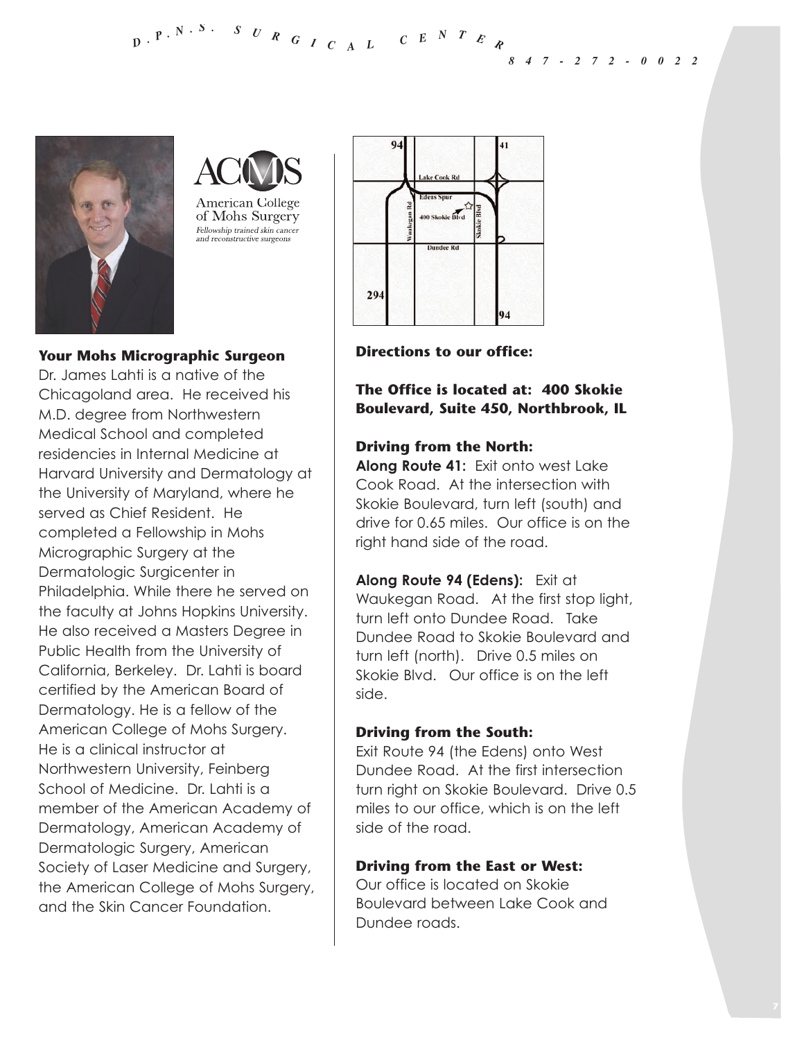*847-272-0022*



**American College** of Mohs Surgery Fellowship trained skin cancer and reconstructive surgeons

#### **Your Mohs Micrographic Surgeon**

Dr. James Lahti is a native of the Chicagoland area. He received his M.D. degree from Northwestern Medical School and completed residencies in Internal Medicine at Harvard University and Dermatology at the University of Maryland, where he served as Chief Resident. He completed a Fellowship in Mohs Micrographic Surgery at the Dermatologic Surgicenter in Philadelphia. While there he served on the faculty at Johns Hopkins University. He also received a Masters Degree in Public Health from the University of California, Berkeley. Dr. Lahti is board certified by the American Board of Dermatology. He is a fellow of the American College of Mohs Surgery. He is a clinical instructor at Northwestern University, Feinberg School of Medicine. Dr. Lahti is a member of the American Academy of Dermatology, American Academy of Dermatologic Surgery, American Society of Laser Medicine and Surgery, the American College of Mohs Surgery, and the Skin Cancer Foundation.



**Directions to our office:**

**The Office is located at: 400 Skokie Boulevard, Suite 450, Northbrook, IL** 

#### **Driving from the North:**

**Along Route 41:** Exit onto west Lake Cook Road. At the intersection with Skokie Boulevard, turn left (south) and drive for 0.65 miles. Our office is on the right hand side of the road.

**Along Route 94 (Edens):** Exit at Waukegan Road. At the first stop light, turn left onto Dundee Road. Take Dundee Road to Skokie Boulevard and turn left (north). Drive 0.5 miles on Skokie Blvd. Our office is on the left side.

#### **Driving from the South:**

Exit Route 94 (the Edens) onto West Dundee Road. At the first intersection turn right on Skokie Boulevard. Drive 0.5 miles to our office, which is on the left side of the road.

#### **Driving from the East or West:**

Our office is located on Skokie Boulevard between Lake Cook and Dundee roads.